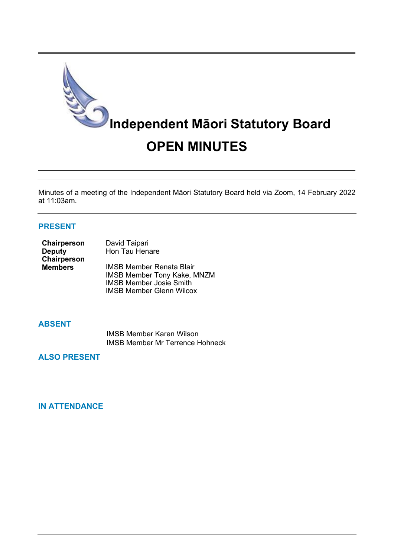

Minutes of a meeting of the Independent Māori Statutory Board held via Zoom, 14 February 2022 at 11:03am.

# **PRESENT**

| Chairperson    | David Taipari                      |
|----------------|------------------------------------|
| <b>Deputy</b>  | Hon Tau Henare                     |
| Chairperson    |                                    |
| <b>Members</b> | <b>IMSB Member Renata Blair</b>    |
|                | <b>IMSB Member Tony Kake, MNZM</b> |
|                | <b>IMSB Member Josie Smith</b>     |
|                | <b>IMSB Member Glenn Wilcox</b>    |

#### **ABSENT**

IMSB Member Karen Wilson IMSB Member Mr Terrence Hohneck

**ALSO PRESENT**

# **IN ATTENDANCE**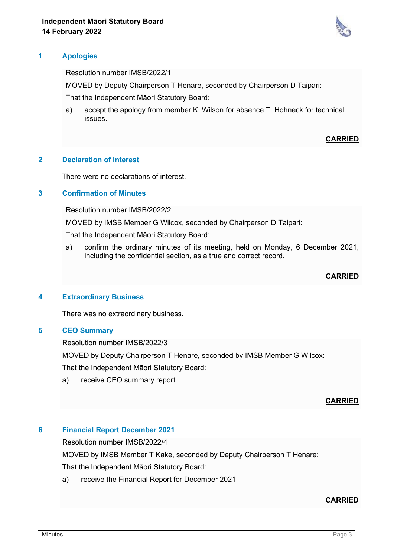

# **1 Apologies**

Resolution number IMSB/2022/1

MOVED by Deputy Chairperson T Henare, seconded by Chairperson D Taipari:

That the Independent Māori Statutory Board:

a) accept the apology from member K. Wilson for absence T. Hohneck for technical issues.

## **CARRIED**

#### **2 Declaration of Interest**

There were no declarations of interest.

# **3 Confirmation of Minutes**

Resolution number IMSB/2022/2

MOVED by IMSB Member G Wilcox, seconded by Chairperson D Taipari:

That the Independent Māori Statutory Board:

a) confirm the ordinary minutes of its meeting, held on Monday, 6 December 2021, including the confidential section, as a true and correct record.

#### **CARRIED**

#### **4 Extraordinary Business**

There was no extraordinary business.

## **5 CEO Summary**

Resolution number IMSB/2022/3

MOVED by Deputy Chairperson T Henare, seconded by IMSB Member G Wilcox:

That the Independent Māori Statutory Board:

a) receive CEO summary report.

## **CARRIED**

## **6 Financial Report December 2021**

Resolution number IMSB/2022/4

MOVED by IMSB Member T Kake, seconded by Deputy Chairperson T Henare:

That the Independent Māori Statutory Board:

a) receive the Financial Report for December 2021.

## **CARRIED**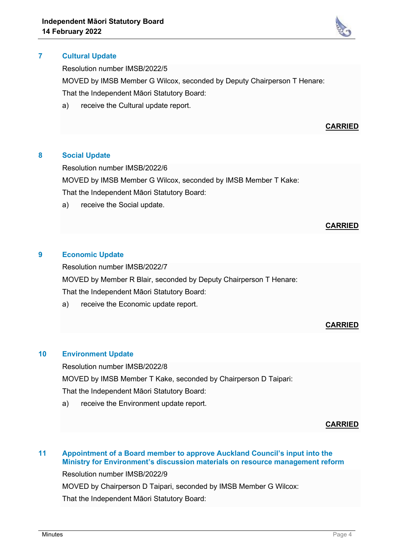

Resolution number IMSB/2022/5

MOVED by IMSB Member G Wilcox, seconded by Deputy Chairperson T Henare: That the Independent Māori Statutory Board:

a) receive the Cultural update report.

#### **CARRIED**

#### **8 Social Update**

Resolution number IMSB/2022/6

MOVED by IMSB Member G Wilcox, seconded by IMSB Member T Kake:

That the Independent Māori Statutory Board:

a) receive the Social update.

## **CARRIED**

#### **9 Economic Update**

Resolution number IMSB/2022/7

MOVED by Member R Blair, seconded by Deputy Chairperson T Henare:

That the Independent Māori Statutory Board:

a) receive the Economic update report.

## **CARRIED**

## **10 Environment Update**

Resolution number IMSB/2022/8

MOVED by IMSB Member T Kake, seconded by Chairperson D Taipari:

That the Independent Māori Statutory Board:

a) receive the Environment update report.

**CARRIED**

# **11 Appointment of a Board member to approve Auckland Council's input into the Ministry for Environment's discussion materials on resource management reform** Resolution number IMSB/2022/9

MOVED by Chairperson D Taipari, seconded by IMSB Member G Wilcox:

That the Independent Māori Statutory Board: